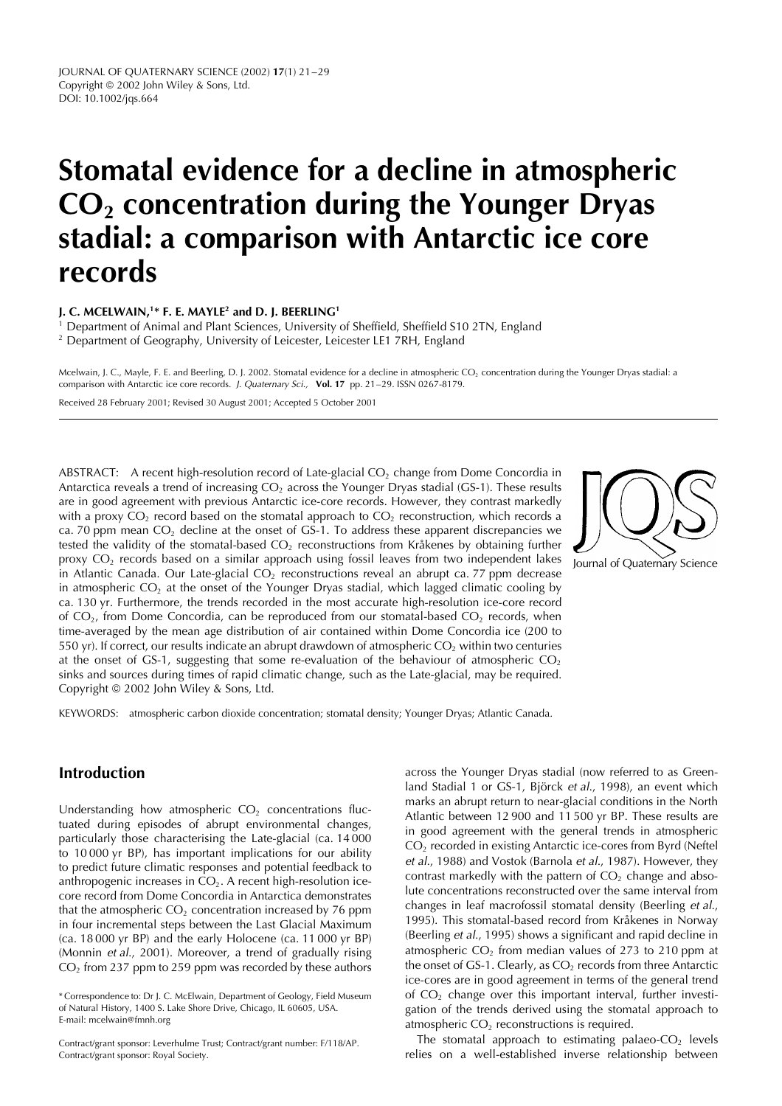# **Stomatal evidence for a decline in atmospheric CO2 concentration during the Younger Dryas stadial: a comparison with Antarctic ice core records**

**J. C. MCELWAIN,1\* F. E. MAYLE2 and D. J. BEERLING1**

<sup>1</sup> Department of Animal and Plant Sciences, University of Sheffield, Sheffield S10 2TN, England <sup>2</sup> Department of Geography, University of Leicester, Leicester LE1 7RH, England

Mcelwain, J. C., Mayle, F. E. and Beerling, D. J. 2002. Stomatal evidence for a decline in atmospheric CO<sub>2</sub> concentration during the Younger Dryas stadial: a comparison with Antarctic ice core records. J. Quaternary Sci., **Vol. 17** pp. 21–29. ISSN 0267-8179.

Received 28 February 2001; Revised 30 August 2001; Accepted 5 October 2001

ABSTRACT: A recent high-resolution record of Late-glacial  $CO<sub>2</sub>$  change from Dome Concordia in Antarctica reveals a trend of increasing  $CO<sub>2</sub>$  across the Younger Dryas stadial (GS-1). These results are in good agreement with previous Antarctic ice-core records. However, they contrast markedly with a proxy  $CO_2$  record based on the stomatal approach to  $CO_2$  reconstruction, which records a ca. 70 ppm mean  $CO<sub>2</sub>$  decline at the onset of GS-1. To address these apparent discrepancies we tested the validity of the stomatal-based  $CO<sub>2</sub>$  reconstructions from Kråkenes by obtaining further proxy  $CO<sub>2</sub>$  records based on a similar approach using fossil leaves from two independent lakes in Atlantic Canada. Our Late-glacial  $CO<sub>2</sub>$  reconstructions reveal an abrupt ca. 77 ppm decrease in atmospheric  $CO<sub>2</sub>$  at the onset of the Younger Dryas stadial, which lagged climatic cooling by ca. 130 yr. Furthermore, the trends recorded in the most accurate high-resolution ice-core record of  $CO<sub>2</sub>$ , from Dome Concordia, can be reproduced from our stomatal-based  $CO<sub>2</sub>$  records, when time-averaged by the mean age distribution of air contained within Dome Concordia ice (200 to 550 yr). If correct, our results indicate an abrupt drawdown of atmospheric  $CO<sub>2</sub>$  within two centuries at the onset of GS-1, suggesting that some re-evaluation of the behaviour of atmospheric  $CO<sub>2</sub>$ sinks and sources during times of rapid climatic change, such as the Late-glacial, may be required. Copyright © 2002 John Wiley & Sons, Ltd.

KEYWORDS: atmospheric carbon dioxide concentration; stomatal density; Younger Dryas; Atlantic Canada.

# **Introduction**

Understanding how atmospheric  $CO<sub>2</sub>$  concentrations fluctuated during episodes of abrupt environmental changes, particularly those characterising the Late-glacial (ca. 14 000 to 10 000 yr BP), has important implications for our ability to predict future climatic responses and potential feedback to anthropogenic increases in  $CO<sub>2</sub>$ . A recent high-resolution icecore record from Dome Concordia in Antarctica demonstrates that the atmospheric  $CO<sub>2</sub>$  concentration increased by 76 ppm in four incremental steps between the Last Glacial Maximum (ca. 18 000 yr BP) and the early Holocene (ca. 11 000 yr BP) (Monnin et al., 2001). Moreover, a trend of gradually rising  $CO<sub>2</sub>$  from 237 ppm to 259 ppm was recorded by these authors

across the Younger Dryas stadial (now referred to as Greenland Stadial 1 or GS-1, Björck et al., 1998), an event which marks an abrupt return to near-glacial conditions in the North Atlantic between 12 900 and 11 500 yr BP. These results are in good agreement with the general trends in atmospheric CO<sub>2</sub> recorded in existing Antarctic ice-cores from Byrd (Neftel et al., 1988) and Vostok (Barnola et al., 1987). However, they contrast markedly with the pattern of  $CO<sub>2</sub>$  change and absolute concentrations reconstructed over the same interval from changes in leaf macrofossil stomatal density (Beerling et al., 1995). This stomatal-based record from Kråkenes in Norway (Beerling et al., 1995) shows a significant and rapid decline in atmospheric  $CO<sub>2</sub>$  from median values of 273 to 210 ppm at the onset of GS-1. Clearly, as  $CO<sub>2</sub>$  records from three Antarctic ice-cores are in good agreement in terms of the general trend of  $CO<sub>2</sub>$  change over this important interval, further investigation of the trends derived using the stomatal approach to atmospheric  $CO<sub>2</sub>$  reconstructions is required.

The stomatal approach to estimating palaeo- $CO<sub>2</sub>$  levels relies on a well-established inverse relationship between





<sup>\*</sup> Correspondence to: Dr J. C. McElwain, Department of Geology, Field Museum of Natural History, 1400 S. Lake Shore Drive, Chicago, IL 60605, USA. E-mail: mcelwain@fmnh.org

Contract/grant sponsor: Leverhulme Trust; Contract/grant number: F/118/AP. Contract/grant sponsor: Royal Society.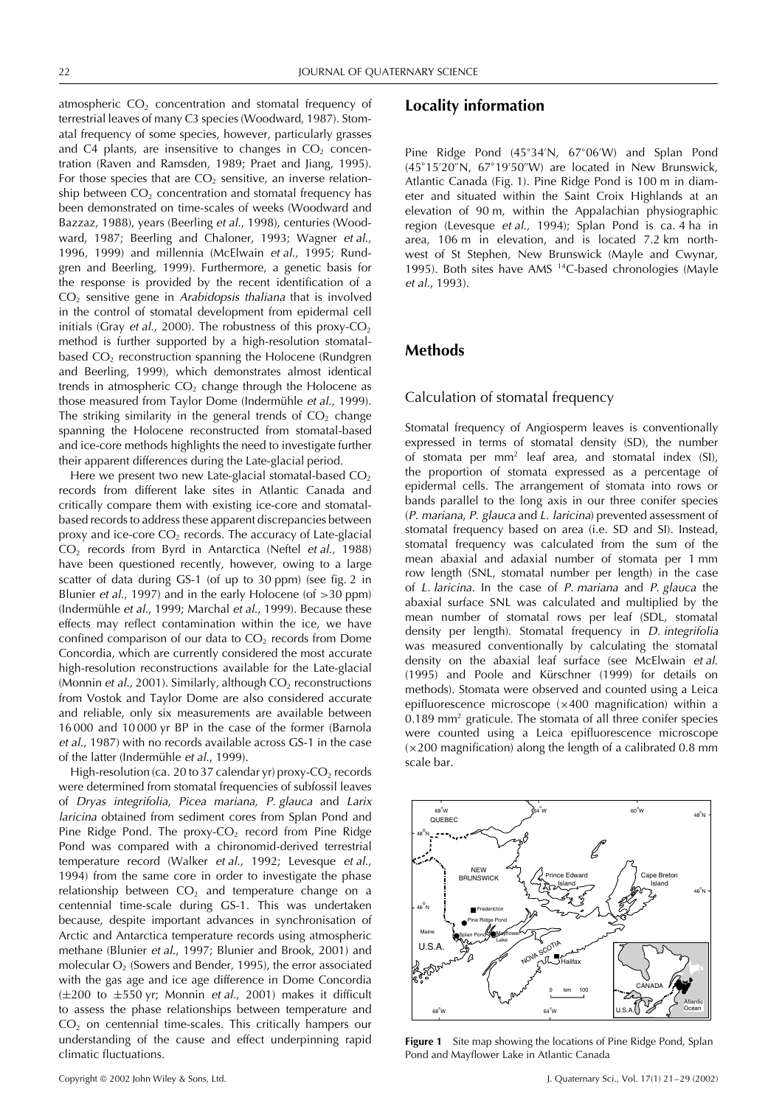atmospheric  $CO<sub>2</sub>$  concentration and stomatal frequency of terrestrial leaves of many C3 species (Woodward, 1987). Stomatal frequency of some species, however, particularly grasses and C4 plants, are insensitive to changes in  $CO<sub>2</sub>$  concentration (Raven and Ramsden, 1989; Praet and Jiang, 1995). For those species that are  $CO<sub>2</sub>$  sensitive, an inverse relationship between  $CO<sub>2</sub>$  concentration and stomatal frequency has been demonstrated on time-scales of weeks (Woodward and Bazzaz, 1988), years (Beerling et al., 1998), centuries (Woodward, 1987; Beerling and Chaloner, 1993; Wagner et al., 1996, 1999) and millennia (McElwain et al., 1995; Rundgren and Beerling, 1999). Furthermore, a genetic basis for the response is provided by the recent identification of a  $CO<sub>2</sub>$  sensitive gene in Arabidopsis thaliana that is involved in the control of stomatal development from epidermal cell initials (Gray et al., 2000). The robustness of this proxy- $CO<sub>2</sub>$ method is further supported by a high-resolution stomatalbased  $CO<sub>2</sub>$  reconstruction spanning the Holocene (Rundgren and Beerling, 1999), which demonstrates almost identical trends in atmospheric  $CO<sub>2</sub>$  change through the Holocene as those measured from Taylor Dome (Indermühle et al., 1999). The striking similarity in the general trends of  $CO<sub>2</sub>$  change spanning the Holocene reconstructed from stomatal-based and ice-core methods highlights the need to investigate further their apparent differences during the Late-glacial period.

Here we present two new Late-glacial stomatal-based  $CO<sub>2</sub>$ records from different lake sites in Atlantic Canada and critically compare them with existing ice-core and stomatalbased records to address these apparent discrepancies between proxy and ice-core  $CO<sub>2</sub>$  records. The accuracy of Late-glacial CO<sub>2</sub> records from Byrd in Antarctica (Neftel et al., 1988) have been questioned recently, however, owing to a large scatter of data during GS-1 (of up to 30 ppm) (see fig. 2 in Blunier et al., 1997) and in the early Holocene (of *>*30 ppm) (Indermühle et al., 1999; Marchal et al., 1999). Because these effects may reflect contamination within the ice, we have confined comparison of our data to  $CO<sub>2</sub>$  records from Dome Concordia, which are currently considered the most accurate high-resolution reconstructions available for the Late-glacial (Monnin et al., 2001). Similarly, although  $CO<sub>2</sub>$  reconstructions from Vostok and Taylor Dome are also considered accurate and reliable, only six measurements are available between 16 000 and 10 000 yr BP in the case of the former (Barnola et al., 1987) with no records available across GS-1 in the case of the latter (Indermühle et al., 1999).

High-resolution (ca. 20 to 37 calendar yr) proxy- $CO<sub>2</sub>$  records were determined from stomatal frequencies of subfossil leaves of Dryas integrifolia, Picea mariana, P. glauca and Larix laricina obtained from sediment cores from Splan Pond and Pine Ridge Pond. The proxy-CO<sub>2</sub> record from Pine Ridge Pond was compared with a chironomid-derived terrestrial temperature record (Walker et al., 1992; Levesque et al., 1994) from the same core in order to investigate the phase relationship between  $CO<sub>2</sub>$  and temperature change on a centennial time-scale during GS-1. This was undertaken because, despite important advances in synchronisation of Arctic and Antarctica temperature records using atmospheric methane (Blunier et al., 1997; Blunier and Brook, 2001) and molecular  $O<sub>2</sub>$  (Sowers and Bender, 1995), the error associated with the gas age and ice age difference in Dome Concordia  $(\pm 200$  to  $\pm 550$  yr; Monnin et al., 2001) makes it difficult to assess the phase relationships between temperature and  $CO<sub>2</sub>$  on centennial time-scales. This critically hampers our understanding of the cause and effect underpinning rapid climatic fluctuations.

## **Locality information**

Pine Ridge Pond (45°34′N, 67°06′W) and Splan Pond (45°15'20"N, 67°19'50"W) are located in New Brunswick, Atlantic Canada (Fig. 1). Pine Ridge Pond is 100 m in diameter and situated within the Saint Croix Highlands at an elevation of 90 m, within the Appalachian physiographic region (Levesque et al., 1994); Splan Pond is ca. 4 ha in area, 106 m in elevation, and is located 7.2 km northwest of St Stephen, New Brunswick (Mayle and Cwynar, 1995). Both sites have AMS 14C-based chronologies (Mayle et al., 1993).

# **Methods**

#### Calculation of stomatal frequency

Stomatal frequency of Angiosperm leaves is conventionally expressed in terms of stomatal density (SD), the number of stomata per mm2 leaf area, and stomatal index (SI), the proportion of stomata expressed as a percentage of epidermal cells. The arrangement of stomata into rows or bands parallel to the long axis in our three conifer species (P. mariana, P. glauca and L. laricina) prevented assessment of stomatal frequency based on area (i.e. SD and SI). Instead, stomatal frequency was calculated from the sum of the mean abaxial and adaxial number of stomata per 1 mm row length (SNL, stomatal number per length) in the case of L. laricina. In the case of P. mariana and P. glauca the abaxial surface SNL was calculated and multiplied by the mean number of stomatal rows per leaf (SDL, stomatal density per length). Stomatal frequency in D. integrifolia was measured conventionally by calculating the stomatal density on the abaxial leaf surface (see McElwain et al. (1995) and Poole and Kürschner (1999) for details on methods). Stomata were observed and counted using a Leica epifluorescence microscope  $(x400$  magnification) within a 0.189 mm<sup>2</sup> graticule. The stomata of all three conifer species were counted using a Leica epifluorescence microscope  $(x200$  magnification) along the length of a calibrated 0.8 mm scale bar.



**Figure 1** Site map showing the locations of Pine Ridge Pond, Splan Pond and Mayflower Lake in Atlantic Canada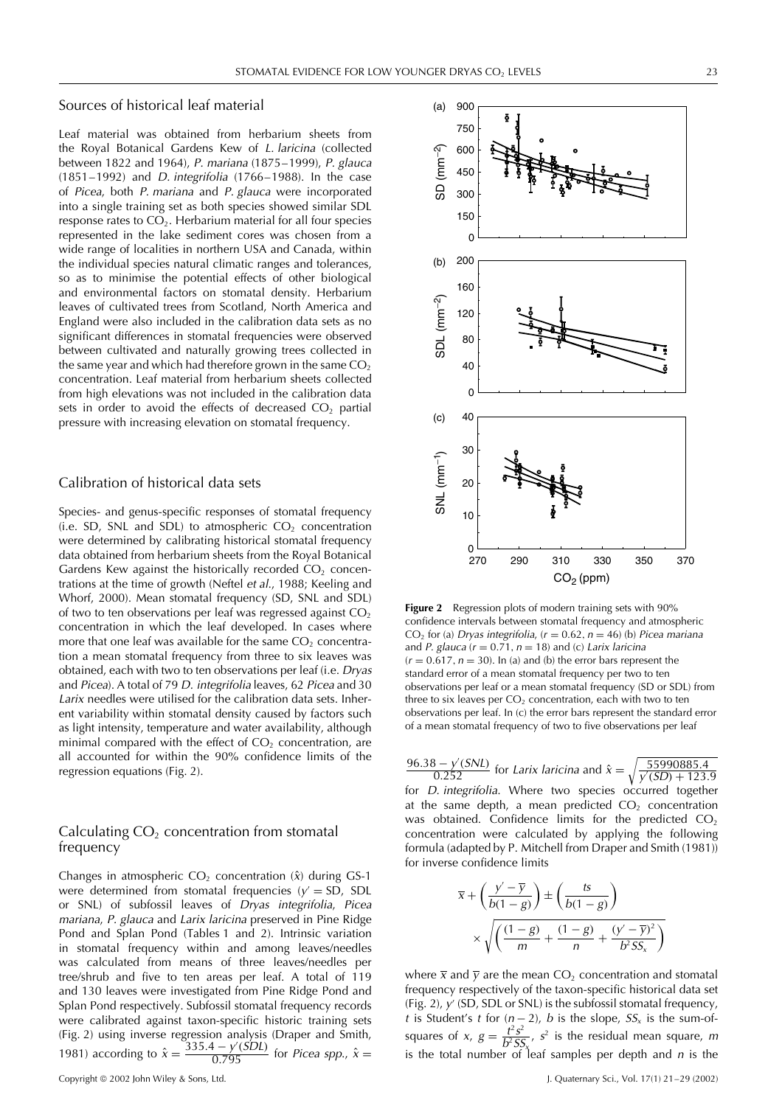#### Sources of historical leaf material

Leaf material was obtained from herbarium sheets from the Royal Botanical Gardens Kew of L. laricina (collected between 1822 and 1964), P. mariana (1875–1999), P. glauca (1851–1992) and D. integrifolia (1766–1988). In the case of Picea, both P. mariana and P. glauca were incorporated into a single training set as both species showed similar SDL response rates to  $CO<sub>2</sub>$ . Herbarium material for all four species represented in the lake sediment cores was chosen from a wide range of localities in northern USA and Canada, within the individual species natural climatic ranges and tolerances, so as to minimise the potential effects of other biological and environmental factors on stomatal density. Herbarium leaves of cultivated trees from Scotland, North America and England were also included in the calibration data sets as no significant differences in stomatal frequencies were observed between cultivated and naturally growing trees collected in the same year and which had therefore grown in the same  $CO<sub>2</sub>$ concentration. Leaf material from herbarium sheets collected from high elevations was not included in the calibration data sets in order to avoid the effects of decreased  $CO<sub>2</sub>$  partial pressure with increasing elevation on stomatal frequency.

### Calibration of historical data sets

Species- and genus-specific responses of stomatal frequency (i.e. SD, SNL and SDL) to atmospheric  $CO<sub>2</sub>$  concentration were determined by calibrating historical stomatal frequency data obtained from herbarium sheets from the Royal Botanical Gardens Kew against the historically recorded  $CO<sub>2</sub>$  concentrations at the time of growth (Neftel et al., 1988; Keeling and Whorf, 2000). Mean stomatal frequency (SD, SNL and SDL) of two to ten observations per leaf was regressed against  $CO<sub>2</sub>$ concentration in which the leaf developed. In cases where more that one leaf was available for the same  $CO<sub>2</sub>$  concentration a mean stomatal frequency from three to six leaves was obtained, each with two to ten observations per leaf (i.e. Dryas and Picea). A total of 79 D. integrifolia leaves, 62 Picea and 30 Larix needles were utilised for the calibration data sets. Inherent variability within stomatal density caused by factors such as light intensity, temperature and water availability, although minimal compared with the effect of  $CO<sub>2</sub>$  concentration, are all accounted for within the 90% confidence limits of the regression equations (Fig. 2).

#### Calculating  $CO<sub>2</sub>$  concentration from stomatal frequency

Changes in atmospheric  $CO<sub>2</sub>$  concentration  $(\hat{x})$  during GS-1 were determined from stomatal frequencies ( $y' = SD$ , SDL or SNL) of subfossil leaves of Dryas integrifolia, Picea mariana, P. glauca and Larix laricina preserved in Pine Ridge Pond and Splan Pond (Tables 1 and 2). Intrinsic variation in stomatal frequency within and among leaves/needles was calculated from means of three leaves/needles per tree/shrub and five to ten areas per leaf. A total of 119 and 130 leaves were investigated from Pine Ridge Pond and Splan Pond respectively. Subfossil stomatal frequency records were calibrated against taxon-specific historic training sets (Fig. 2) using inverse regression analysis (Draper and Smith, 1981) according to  $\hat{x} = \frac{335.4 - \sqrt{(SDL)}}{0.795}$  for *Picea spp.*,  $\hat{x} =$ 



**Figure 2** Regression plots of modern training sets with 90% confidence intervals between stomatal frequency and atmospheric CO<sub>2</sub> for (a) Dryas integrifolia,  $(r = 0.62, n = 46)$  (b) Picea mariana and P. glauca ( $r = 0.71$ ,  $n = 18$ ) and (c) Larix laricina  $(r = 0.617, n = 30)$ . In (a) and (b) the error bars represent the standard error of a mean stomatal frequency per two to ten observations per leaf or a mean stomatal frequency (SD or SDL) from three to six leaves per  $CO<sub>2</sub>$  concentration, each with two to ten observations per leaf. In (c) the error bars represent the standard error of a mean stomatal frequency of two to five observations per leaf

 $\frac{96.38 - y'(SNL)}{0.252}$  for *Larix laricina* and  $\hat{x} = \sqrt{\frac{55990885.4}{y'(SD) + 123}}$ .  $y'(SD) + 123.9$ for D. integrifolia. Where two species occurred together at the same depth, a mean predicted  $CO<sub>2</sub>$  concentration was obtained. Confidence limits for the predicted  $CO<sub>2</sub>$ concentration were calculated by applying the following formula (adapted by P. Mitchell from Draper and Smith (1981)) for inverse confidence limits

$$
\overline{x} + \left(\frac{y' - \overline{y}}{b(1 - g)}\right) \pm \left(\frac{ts}{b(1 - g)}\right)
$$

$$
\times \sqrt{\left(\frac{(1 - g)}{m} + \frac{(1 - g)}{n} + \frac{(y' - \overline{y})^2}{b^2 S s_x}\right)}
$$

where  $\overline{x}$  and  $\overline{y}$  are the mean CO<sub>2</sub> concentration and stomatal frequency respectively of the taxon-specific historical data set (Fig. 2),  $y'$  (SD, SDL or SNL) is the subfossil stomatal frequency, t is Student's t for  $(n-2)$ , b is the slope,  $SS_x$  is the sum-ofsquares of x,  $g = \frac{t^2 s^2}{h^2 S^2}$  $\frac{l}{b^2}$   $\frac{s}{s^2}$  is the residual mean square, m is the total number of leaf samples per depth and n is the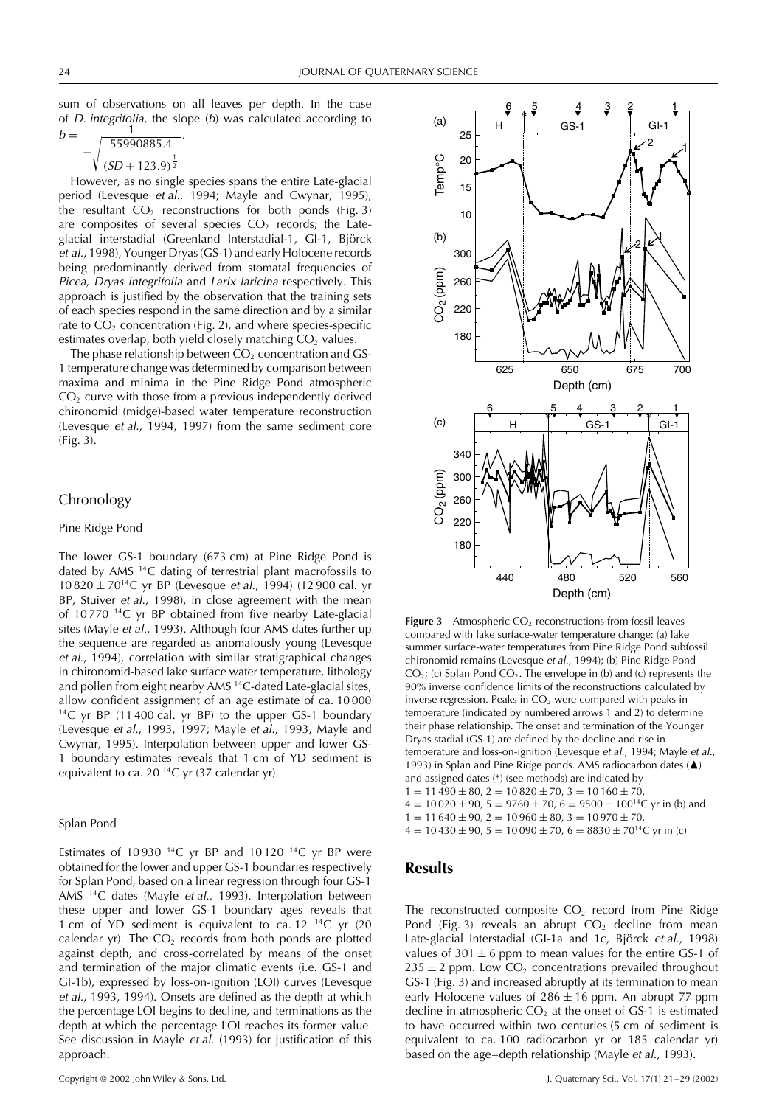sum of observations on all leaves per depth. In the case of D. integrifolia, the slope (b) was calculated according to

$$
b = \frac{1}{-\sqrt{\frac{55990885.4}{(SD + 123.9)^{\frac{1}{2}}}}}.
$$

However, as no single species spans the entire Late-glacial period (Levesque et al., 1994; Mayle and Cwynar, 1995), the resultant  $CO<sub>2</sub>$  reconstructions for both ponds (Fig. 3) are composites of several species  $CO<sub>2</sub>$  records; the Lateglacial interstadial (Greenland Interstadial-1, GI-1, Björck et al., 1998), Younger Dryas (GS-1) and early Holocene records being predominantly derived from stomatal frequencies of Picea, Dryas integrifolia and Larix laricina respectively. This approach is justified by the observation that the training sets of each species respond in the same direction and by a similar rate to  $CO<sub>2</sub>$  concentration (Fig. 2), and where species-specific estimates overlap, both yield closely matching  $CO<sub>2</sub>$  values.

The phase relationship between  $CO<sub>2</sub>$  concentration and GS-1 temperature change was determined by comparison between maxima and minima in the Pine Ridge Pond atmospheric  $CO<sub>2</sub>$  curve with those from a previous independently derived chironomid (midge)-based water temperature reconstruction (Levesque et al., 1994, 1997) from the same sediment core (Fig. 3).

#### Chronology

#### Pine Ridge Pond

The lower GS-1 boundary (673 cm) at Pine Ridge Pond is dated by AMS 14C dating of terrestrial plant macrofossils to  $10\,820 \pm 70^{14}$ C yr BP (Levesque *et al.*, 1994) (12 900 cal. yr BP, Stuiver et al., 1998), in close agreement with the mean of 10 770 14C yr BP obtained from five nearby Late-glacial sites (Mayle et al., 1993). Although four AMS dates further up the sequence are regarded as anomalously young (Levesque et al., 1994), correlation with similar stratigraphical changes in chironomid-based lake surface water temperature, lithology and pollen from eight nearby AMS 14C-dated Late-glacial sites, allow confident assignment of an age estimate of ca. 10 000  $14C$  yr BP (11400 cal. yr BP) to the upper GS-1 boundary (Levesque et al., 1993, 1997; Mayle et al., 1993, Mayle and Cwynar, 1995). Interpolation between upper and lower GS-1 boundary estimates reveals that 1 cm of YD sediment is equivalent to ca. 20 14C yr (37 calendar yr).

#### Splan Pond

Estimates of 10 930  $^{14}$ C yr BP and 10 120  $^{14}$ C yr BP were obtained for the lower and upper GS-1 boundaries respectively for Splan Pond, based on a linear regression through four GS-1 AMS 14C dates (Mayle et al., 1993). Interpolation between these upper and lower GS-1 boundary ages reveals that 1 cm of YD sediment is equivalent to ca.  $12^{-14}C$  yr (20 calendar yr). The  $CO<sub>2</sub>$  records from both ponds are plotted against depth, and cross-correlated by means of the onset and termination of the major climatic events (i.e. GS-1 and GI-1b), expressed by loss-on-ignition (LOI) curves (Levesque et al., 1993, 1994). Onsets are defined as the depth at which the percentage LOI begins to decline, and terminations as the depth at which the percentage LOI reaches its former value. See discussion in Mayle et al. (1993) for justification of this approach.



**Figure 3** Atmospheric  $CO<sub>2</sub>$  reconstructions from fossil leaves compared with lake surface-water temperature change: (a) lake summer surface-water temperatures from Pine Ridge Pond subfossil chironomid remains (Levesque et al., 1994); (b) Pine Ridge Pond  $CO<sub>2</sub>$ ; (c) Splan Pond  $CO<sub>2</sub>$ . The envelope in (b) and (c) represents the 90% inverse confidence limits of the reconstructions calculated by inverse regression. Peaks in  $CO<sub>2</sub>$  were compared with peaks in temperature (indicated by numbered arrows 1 and 2) to determine their phase relationship. The onset and termination of the Younger Dryas stadial (GS-1) are defined by the decline and rise in temperature and loss-on-ignition (Levesque et al., 1994; Mayle et al., 1993) in Splan and Pine Ridge ponds. AMS radiocarbon dates ( $\blacktriangle$ ) and assigned dates (\*) (see methods) are indicated by  $1 = 11490 \pm 80$ ,  $2 = 10820 \pm 70$ ,  $3 = 10160 \pm 70$ ,  $4 = 10020 \pm 90$ ,  $5 = 9760 \pm 70$ ,  $6 = 9500 \pm 100^{14}$ C vr in (b) and  $1 = 11640 \pm 90$ ,  $2 = 10960 \pm 80$ ,  $3 = 10970 \pm 70$ ,

 $4 = 10430 \pm 90$ ,  $5 = 10090 \pm 70$ ,  $6 = 8830 \pm 70^{14}$ C yr in (c)

# **Results**

The reconstructed composite  $CO<sub>2</sub>$  record from Pine Ridge Pond (Fig. 3) reveals an abrupt  $CO<sub>2</sub>$  decline from mean Late-glacial Interstadial (GI-1a and 1c, Björck et al., 1998) values of 301  $\pm$  6 ppm to mean values for the entire GS-1 of  $235 \pm 2$  ppm. Low CO<sub>2</sub> concentrations prevailed throughout GS-1 (Fig. 3) and increased abruptly at its termination to mean early Holocene values of  $286 \pm 16$  ppm. An abrupt 77 ppm decline in atmospheric  $CO<sub>2</sub>$  at the onset of GS-1 is estimated to have occurred within two centuries (5 cm of sediment is equivalent to ca. 100 radiocarbon yr or 185 calendar yr) based on the age–depth relationship (Mayle et al., 1993).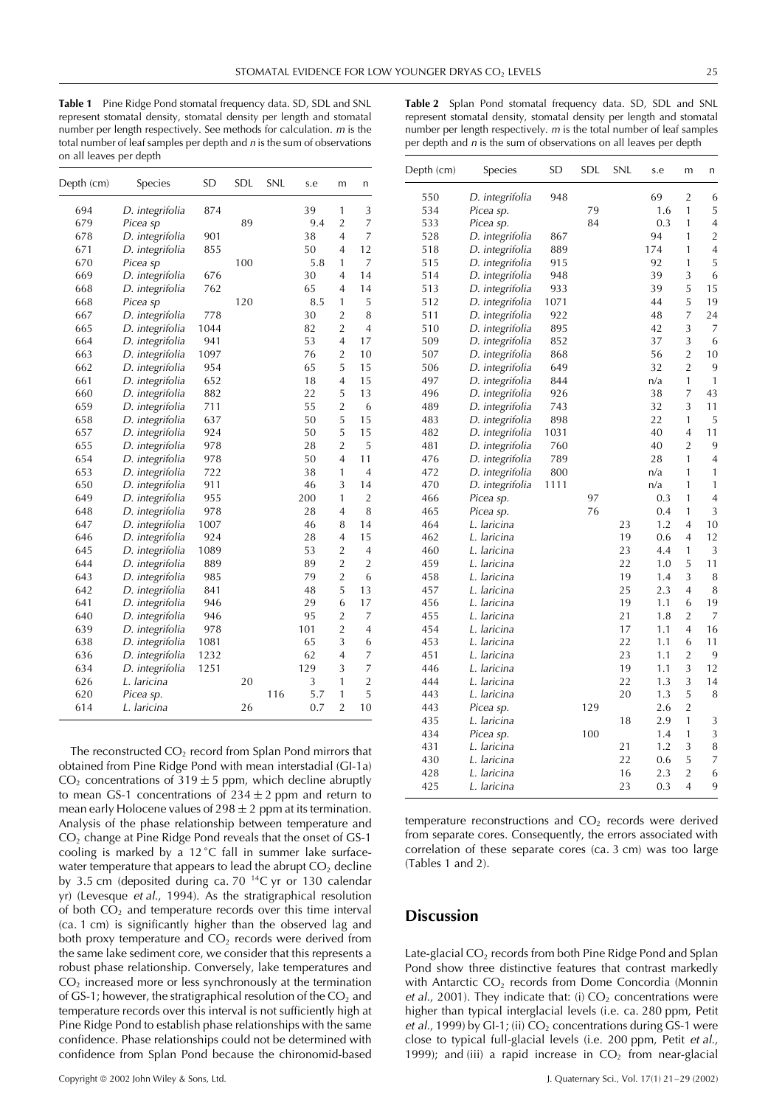**Table 1** Pine Ridge Pond stomatal frequency data. SD, SDL and SNL represent stomatal density, stomatal density per length and stomatal number per length respectively. See methods for calculation. <sup>m</sup> is the total number of leaf samples per depth and  $n$  is the sum of observations on all leaves per depth

| Table 2 Splan Pond stomatal frequency data. SD, SDL and SNL             |
|-------------------------------------------------------------------------|
| represent stomatal density, stomatal density per length and stomatal    |
| number per length respectively. $m$ is the total number of leaf samples |
| per depth and $n$ is the sum of observations on all leaves per depth    |
|                                                                         |

| Depth (cm) | Species         | <b>SD</b> | SDL | SNL | s.e | m              | n              |
|------------|-----------------|-----------|-----|-----|-----|----------------|----------------|
| 694        | D. integrifolia | 874       |     |     | 39  | 1              | 3              |
| 679        | Picea sp        |           | 89  |     | 9.4 | $\overline{2}$ | 7              |
| 678        | D. integrifolia | 901       |     |     | 38  | 4              | 7              |
| 671        | D. integrifolia | 855       |     |     | 50  | 4              | 12             |
| 670        | Picea sp        |           | 100 |     | 5.8 | 1              | 7              |
| 669        | D. integrifolia | 676       |     |     | 30  | 4              | 14             |
| 668        | D. integrifolia | 762       |     |     | 65  | 4              | 14             |
| 668        | Picea sp        |           | 120 |     | 8.5 | $\mathbf{1}$   | 5              |
| 667        | D. integrifolia | 778       |     |     | 30  | $\overline{2}$ | 8              |
| 665        | D. integrifolia | 1044      |     |     | 82  | $\overline{2}$ | $\overline{4}$ |
| 664        | D. integrifolia | 941       |     |     | 53  | 4              | 17             |
| 663        | D. integrifolia | 1097      |     |     | 76  | $\overline{2}$ | 10             |
| 662        | D. integrifolia | 954       |     |     | 65  | 5              | 15             |
| 661        | D. integrifolia | 652       |     |     | 18  | 4              | 15             |
| 660        | D. integrifolia | 882       |     |     | 22  | 5              | 13             |
| 659        | D. integrifolia | 711       |     |     | 55  | $\overline{2}$ | 6              |
| 658        | D. integrifolia | 637       |     |     | 50  | 5              | 15             |
| 657        | D. integrifolia | 924       |     |     | 50  | 5              | 15             |
| 655        | D. integrifolia | 978       |     |     | 28  | $\overline{2}$ | 5              |
| 654        | D. integrifolia | 978       |     |     | 50  | 4              | 11             |
| 653        | D. integrifolia | 722       |     |     | 38  | 1              | $\overline{4}$ |
| 650        | D. integrifolia | 911       |     |     | 46  | 3              | 14             |
| 649        | D. integrifolia | 955       |     |     | 200 | 1              | 2              |
| 648        | D. integrifolia | 978       |     |     | 28  | 4              | 8              |
| 647        | D. integrifolia | 1007      |     |     | 46  | 8              | 14             |
| 646        | D. integrifolia | 924       |     |     | 28  | $\overline{4}$ | 15             |
| 645        | D. integrifolia | 1089      |     |     | 53  | $\overline{2}$ | 4              |
| 644        | D. integrifolia | 889       |     |     | 89  | $\overline{2}$ | $\overline{2}$ |
| 643        | D. integrifolia | 985       |     |     | 79  | $\overline{2}$ | 6              |
| 642        | D. integrifolia | 841       |     |     | 48  | 5              | 13             |
| 641        | D. integrifolia | 946       |     |     | 29  | 6              | 17             |
| 640        | D. integrifolia | 946       |     |     | 95  | $\overline{2}$ | 7              |
| 639        | D. integrifolia | 978       |     |     | 101 | $\overline{2}$ | 4              |
| 638        | D. integrifolia | 1081      |     |     | 65  | $\overline{3}$ | 6              |
| 636        | D. integrifolia | 1232      |     |     | 62  | $\overline{4}$ | 7              |
| 634        | D. integrifolia | 1251      |     |     | 129 | 3              | $\overline{7}$ |
| 626        | L. laricina     |           | 20  |     | 3   | 1              | $\overline{c}$ |
| 620        | Picea sp.       |           |     | 116 | 5.7 | 1              | 5              |
| 614        | L. laricina     |           | 26  |     | 0.7 | $\overline{2}$ | 10             |
|            |                 |           |     |     |     |                |                |

The reconstructed  $CO<sub>2</sub>$  record from Splan Pond mirrors that obtained from Pine Ridge Pond with mean interstadial (GI-1a)  $CO<sub>2</sub>$  concentrations of 319  $\pm$  5 ppm, which decline abruptly to mean GS-1 concentrations of  $234 \pm 2$  ppm and return to mean early Holocene values of  $298 \pm 2$  ppm at its termination. Analysis of the phase relationship between temperature and CO2 change at Pine Ridge Pond reveals that the onset of GS-1 cooling is marked by a 12 °C fall in summer lake surfacewater temperature that appears to lead the abrupt  $CO<sub>2</sub>$  decline by 3.5 cm (deposited during ca. 70 $^{14}$ C yr or 130 calendar yr) (Levesque et al., 1994). As the stratigraphical resolution of both  $CO<sub>2</sub>$  and temperature records over this time interval (ca. 1 cm) is significantly higher than the observed lag and both proxy temperature and  $CO<sub>2</sub>$  records were derived from the same lake sediment core, we consider that this represents a robust phase relationship. Conversely, lake temperatures and CO2 increased more or less synchronously at the termination of GS-1; however, the stratigraphical resolution of the  $CO<sub>2</sub>$  and temperature records over this interval is not sufficiently high at Pine Ridge Pond to establish phase relationships with the same confidence. Phase relationships could not be determined with confidence from Splan Pond because the chironomid-based

| Depth (cm) | Species            | SD   | SDL | SNL | s.e | m              | n              |
|------------|--------------------|------|-----|-----|-----|----------------|----------------|
| 550        | D. integrifolia    | 948  |     |     | 69  | $\overline{c}$ | 6              |
| 534        | Picea sp.          |      | 79  |     | 1.6 | 1              | 5              |
| 533        | Picea sp.          |      | 84  |     | 0.3 | 1              | 4              |
| 528        | D. integrifolia    | 867  |     |     | 94  | 1              | $\overline{2}$ |
| 518        | D. integrifolia    | 889  |     |     | 174 | 1              | $\overline{4}$ |
| 515        | D. integrifolia    | 915  |     |     | 92  | $\mathbf{1}$   | 5              |
| 514        | D. integrifolia    | 948  |     |     | 39  | 3              | 6              |
| 513        | D. integrifolia    | 933  |     |     | 39  | 5              | 15             |
| 512        | D. integrifolia    | 1071 |     |     | 44  | 5              | 19             |
| 511        | D. integrifolia    | 922  |     |     | 48  | 7              | 24             |
| 510        | D. integrifolia    | 895  |     |     | 42  | 3              | 7              |
| 509        | D. integrifolia    | 852  |     |     | 37  | 3              | 6              |
| 507        | D. integrifolia    | 868  |     |     | 56  | $\overline{2}$ | 10             |
| 506        | D. integrifolia    | 649  |     |     | 32  | $\overline{2}$ | 9              |
| 497        | D. integrifolia    | 844  |     |     | n/a | $\mathbf{1}$   | 1              |
| 496        | D. integrifolia    | 926  |     |     | 38  | 7              | 43             |
| 489        | D. integrifolia    | 743  |     |     | 32  | 3              | 11             |
| 483        | D. integrifolia    | 898  |     |     | 22  | 1              | 5              |
| 482        | D. integrifolia    | 1031 |     |     | 40  | 4              | 11             |
| 481        | D. integrifolia    | 760  |     |     | 40  | $\overline{2}$ | 9              |
| 476        | D. integrifolia    | 789  |     |     | 28  | $\mathbf{1}$   | $\overline{4}$ |
| 472        | D. integrifolia    | 800  |     |     | n/a | 1              | 1              |
| 470        | D. integrifolia    | 1111 |     |     | n/a | $\mathbf{1}$   | 1              |
| 466        | Picea sp.          |      | 97  |     | 0.3 | 1              | $\overline{4}$ |
| 465        | Picea sp.          |      | 76  |     | 0.4 | 1              | 3              |
| 464        | L. laricina        |      |     | 23  | 1.2 | $\overline{4}$ | 10             |
| 462        | L. laricina        |      |     | 19  | 0.6 | 4              | 12             |
| 460        | L. laricina        |      |     | 23  | 4.4 | 1              | 3              |
| 459        | L. laricina        |      |     | 22  | 1.0 | 5              | 11             |
| 458        | L. laricina        |      |     | 19  | 1.4 | 3              | 8              |
| 457        | L. laricina        |      |     | 25  | 2.3 | $\overline{4}$ | 8              |
| 456        | L. laricina        |      |     | 19  | 1.1 | 6              | 19             |
| 455        | L. laricina        |      |     | 21  | 1.8 | $\overline{2}$ | 7              |
| 454        | L. laricina        |      |     | 17  | 1.1 | 4              | 16             |
| 453        | L. laricina        |      |     | 22  | 1.1 | 6              | 11             |
| 451        | L. laricina        |      |     | 23  | 1.1 | $\overline{2}$ | 9              |
| 446        | L. laricina        |      |     | 19  | 1.1 | 3              | 12             |
| 444        | L. laricina        |      |     | 22  | 1.3 | 3              | 14             |
| 443        | L. laricina        |      |     | 20  | 1.3 | 5              | 8              |
| 443        | Picea sp.          |      | 129 |     | 2.6 | $\overline{2}$ |                |
| 435        | <i>L. laricina</i> |      |     | 18  | 2.9 | $\mathbf{1}$   | 3              |
| 434        | Picea sp.          |      | 100 |     | 1.4 | 1              | 3              |
| 431        | <i>L. laricina</i> |      |     | 21  | 1.2 | 3              | 8              |
| 430        | L. laricina        |      |     | 22  | 0.6 | 5              | 7              |
| 428        | L. laricina        |      |     | 16  | 2.3 | $\overline{2}$ | 6              |
| 425        | L. laricina        |      |     | 23  | 0.3 | 4              | 9              |
|            |                    |      |     |     |     |                |                |

temperature reconstructions and  $CO<sub>2</sub>$  records were derived from separate cores. Consequently, the errors associated with correlation of these separate cores (ca. 3 cm) was too large (Tables 1 and 2).

# **Discussion**

Late-glacial  $CO<sub>2</sub>$  records from both Pine Ridge Pond and Splan Pond show three distinctive features that contrast markedly with Antarctic  $CO<sub>2</sub>$  records from Dome Concordia (Monnin et al., 2001). They indicate that: (i)  $CO<sub>2</sub>$  concentrations were higher than typical interglacial levels (i.e. ca. 280 ppm, Petit et al., 1999) by GI-1; (ii)  $CO<sub>2</sub>$  concentrations during GS-1 were close to typical full-glacial levels (i.e. 200 ppm, Petit et al., 1999); and (iii) a rapid increase in  $CO<sub>2</sub>$  from near-glacial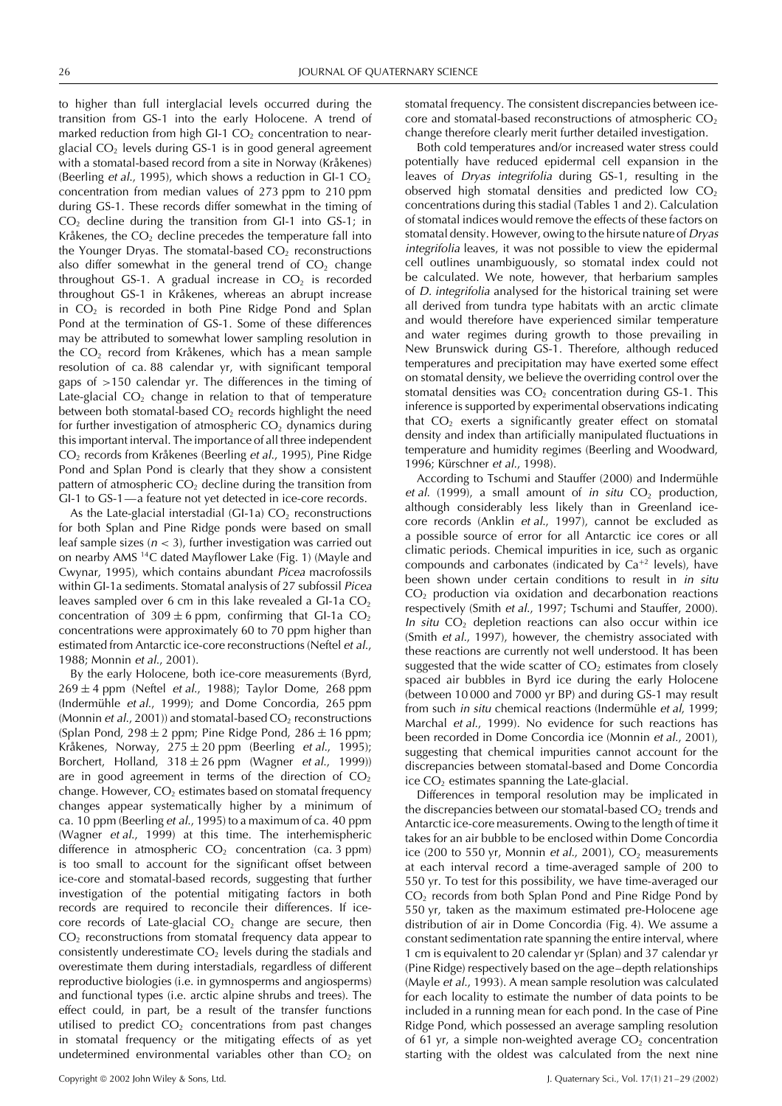to higher than full interglacial levels occurred during the transition from GS-1 into the early Holocene. A trend of marked reduction from high GI-1  $CO<sub>2</sub>$  concentration to nearglacial  $CO<sub>2</sub>$  levels during GS-1 is in good general agreement with a stomatal-based record from a site in Norway (Kråkenes) (Beerling *et al.*, 1995), which shows a reduction in GI-1  $CO<sub>2</sub>$ concentration from median values of 273 ppm to 210 ppm during GS-1. These records differ somewhat in the timing of  $CO<sub>2</sub>$  decline during the transition from GI-1 into GS-1; in Kråkenes, the  $CO<sub>2</sub>$  decline precedes the temperature fall into the Younger Dryas. The stomatal-based  $CO<sub>2</sub>$  reconstructions also differ somewhat in the general trend of  $CO<sub>2</sub>$  change throughout GS-1. A gradual increase in  $CO<sub>2</sub>$  is recorded throughout GS-1 in Kråkenes, whereas an abrupt increase in  $CO<sub>2</sub>$  is recorded in both Pine Ridge Pond and Splan Pond at the termination of GS-1. Some of these differences may be attributed to somewhat lower sampling resolution in the  $CO<sub>2</sub>$  record from Kråkenes, which has a mean sample resolution of ca. 88 calendar yr, with significant temporal gaps of *>*150 calendar yr. The differences in the timing of Late-glacial  $CO<sub>2</sub>$  change in relation to that of temperature between both stomatal-based  $CO<sub>2</sub>$  records highlight the need for further investigation of atmospheric  $CO<sub>2</sub>$  dynamics during this important interval. The importance of all three independent CO<sub>2</sub> records from Kråkenes (Beerling et al., 1995), Pine Ridge Pond and Splan Pond is clearly that they show a consistent pattern of atmospheric  $CO<sub>2</sub>$  decline during the transition from GI-1 to GS-1—a feature not yet detected in ice-core records.

As the Late-glacial interstadial (GI-1a)  $CO<sub>2</sub>$  reconstructions for both Splan and Pine Ridge ponds were based on small leaf sample sizes (<sup>n</sup> *<* 3), further investigation was carried out on nearby AMS 14C dated Mayflower Lake (Fig. 1) (Mayle and Cwynar, 1995), which contains abundant Picea macrofossils within GI-1a sediments. Stomatal analysis of 27 subfossil Picea leaves sampled over 6 cm in this lake revealed a GI-1a  $CO<sub>2</sub>$ concentration of  $309 \pm 6$  ppm, confirming that GI-1a CO<sub>2</sub> concentrations were approximately 60 to 70 ppm higher than estimated from Antarctic ice-core reconstructions (Neftel et al., 1988; Monnin et al., 2001).

By the early Holocene, both ice-core measurements (Byrd,  $269 \pm 4$  ppm (Neftel *et al.*, 1988); Taylor Dome, 268 ppm (Indermühle et al., 1999); and Dome Concordia, 265 ppm (Monnin et al., 2001)) and stomatal-based  $CO<sub>2</sub>$  reconstructions (Splan Pond, 298  $\pm$  2 ppm; Pine Ridge Pond, 286  $\pm$  16 ppm; Kråkenes, Norway,  $275 \pm 20$  ppm (Beerling *et al.*, 1995); Borchert, Holland,  $318 \pm 26$  ppm (Wagner *et al.*, 1999)) are in good agreement in terms of the direction of  $CO<sub>2</sub>$ change. However,  $CO<sub>2</sub>$  estimates based on stomatal frequency changes appear systematically higher by a minimum of ca. 10 ppm (Beerling et al., 1995) to a maximum of ca. 40 ppm (Wagner et al., 1999) at this time. The interhemispheric difference in atmospheric  $CO<sub>2</sub>$  concentration (ca. 3 ppm) is too small to account for the significant offset between ice-core and stomatal-based records, suggesting that further investigation of the potential mitigating factors in both records are required to reconcile their differences. If icecore records of Late-glacial  $CO<sub>2</sub>$  change are secure, then  $CO<sub>2</sub>$  reconstructions from stomatal frequency data appear to consistently underestimate  $CO<sub>2</sub>$  levels during the stadials and overestimate them during interstadials, regardless of different reproductive biologies (i.e. in gymnosperms and angiosperms) and functional types (i.e. arctic alpine shrubs and trees). The effect could, in part, be a result of the transfer functions utilised to predict  $CO<sub>2</sub>$  concentrations from past changes in stomatal frequency or the mitigating effects of as yet undetermined environmental variables other than  $CO<sub>2</sub>$  on

stomatal frequency. The consistent discrepancies between icecore and stomatal-based reconstructions of atmospheric  $CO<sub>2</sub>$ change therefore clearly merit further detailed investigation.

Both cold temperatures and/or increased water stress could potentially have reduced epidermal cell expansion in the leaves of Dryas integrifolia during GS-1, resulting in the observed high stomatal densities and predicted low  $CO<sub>2</sub>$ concentrations during this stadial (Tables 1 and 2). Calculation of stomatal indices would remove the effects of these factors on stomatal density. However, owing to the hirsute nature of Dryas integrifolia leaves, it was not possible to view the epidermal cell outlines unambiguously, so stomatal index could not be calculated. We note, however, that herbarium samples of D. integrifolia analysed for the historical training set were all derived from tundra type habitats with an arctic climate and would therefore have experienced similar temperature and water regimes during growth to those prevailing in New Brunswick during GS-1. Therefore, although reduced temperatures and precipitation may have exerted some effect on stomatal density, we believe the overriding control over the stomatal densities was  $CO<sub>2</sub>$  concentration during GS-1. This inference is supported by experimental observations indicating that  $CO<sub>2</sub>$  exerts a significantly greater effect on stomatal density and index than artificially manipulated fluctuations in temperature and humidity regimes (Beerling and Woodward, 1996; Kürschner et al., 1998).

According to Tschumi and Stauffer (2000) and Indermühle et al. (1999), a small amount of in situ  $CO<sub>2</sub>$  production, although considerably less likely than in Greenland icecore records (Anklin et al., 1997), cannot be excluded as a possible source of error for all Antarctic ice cores or all climatic periods. Chemical impurities in ice, such as organic compounds and carbonates (indicated by  $Ca^{+2}$  levels), have been shown under certain conditions to result in in situ  $CO<sub>2</sub>$  production via oxidation and decarbonation reactions respectively (Smith et al., 1997; Tschumi and Stauffer, 2000). In situ  $CO<sub>2</sub>$  depletion reactions can also occur within ice (Smith et al., 1997), however, the chemistry associated with these reactions are currently not well understood. It has been suggested that the wide scatter of  $CO<sub>2</sub>$  estimates from closely spaced air bubbles in Byrd ice during the early Holocene (between 10 000 and 7000 yr BP) and during GS-1 may result from such *in situ* chemical reactions (Indermühle et al, 1999; Marchal et al., 1999). No evidence for such reactions has been recorded in Dome Concordia ice (Monnin et al., 2001), suggesting that chemical impurities cannot account for the discrepancies between stomatal-based and Dome Concordia ice  $CO<sub>2</sub>$  estimates spanning the Late-glacial.

Differences in temporal resolution may be implicated in the discrepancies between our stomatal-based  $CO<sub>2</sub>$  trends and Antarctic ice-core measurements. Owing to the length of time it takes for an air bubble to be enclosed within Dome Concordia ice (200 to 550 yr, Monnin et al., 2001),  $CO<sub>2</sub>$  measurements at each interval record a time-averaged sample of 200 to 550 yr. To test for this possibility, we have time-averaged our  $CO<sub>2</sub>$  records from both Splan Pond and Pine Ridge Pond by 550 yr, taken as the maximum estimated pre-Holocene age distribution of air in Dome Concordia (Fig. 4). We assume a constant sedimentation rate spanning the entire interval, where 1 cm is equivalent to 20 calendar yr (Splan) and 37 calendar yr (Pine Ridge) respectively based on the age–depth relationships (Mayle et al., 1993). A mean sample resolution was calculated for each locality to estimate the number of data points to be included in a running mean for each pond. In the case of Pine Ridge Pond, which possessed an average sampling resolution of 61 yr, a simple non-weighted average  $CO<sub>2</sub>$  concentration starting with the oldest was calculated from the next nine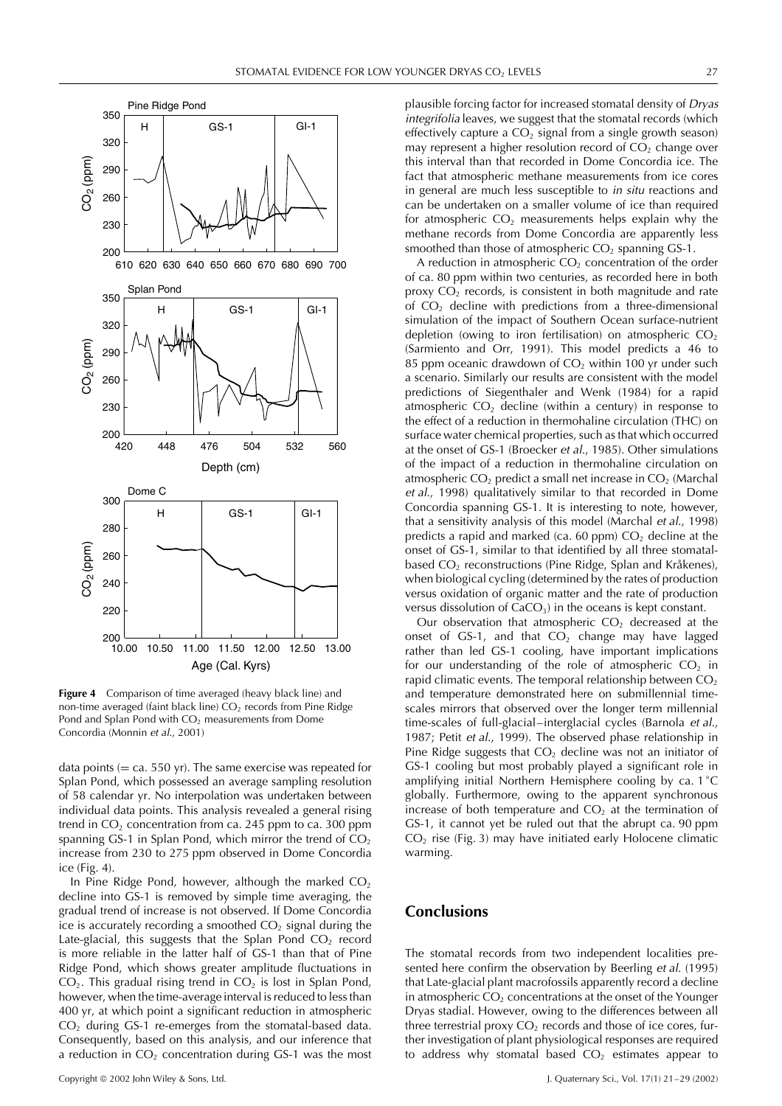



**Figure 4** Comparison of time averaged (heavy black line) and non-time averaged (faint black line)  $CO<sub>2</sub>$  records from Pine Ridge Pond and Splan Pond with  $CO<sub>2</sub>$  measurements from Dome Concordia (Monnin et al., 2001)

data points  $(= c a. 550 \text{ yr})$ . The same exercise was repeated for Splan Pond, which possessed an average sampling resolution of 58 calendar yr. No interpolation was undertaken between individual data points. This analysis revealed a general rising trend in  $CO<sub>2</sub>$  concentration from ca. 245 ppm to ca. 300 ppm spanning GS-1 in Splan Pond, which mirror the trend of  $CO<sub>2</sub>$ increase from 230 to 275 ppm observed in Dome Concordia ice (Fig. 4).

In Pine Ridge Pond, however, although the marked  $CO<sub>2</sub>$ decline into GS-1 is removed by simple time averaging, the gradual trend of increase is not observed. If Dome Concordia ice is accurately recording a smoothed  $CO<sub>2</sub>$  signal during the Late-glacial, this suggests that the Splan Pond  $CO<sub>2</sub>$  record is more reliable in the latter half of GS-1 than that of Pine Ridge Pond, which shows greater amplitude fluctuations in  $CO<sub>2</sub>$ . This gradual rising trend in  $CO<sub>2</sub>$  is lost in Splan Pond, however, when the time-average interval is reduced to less than 400 yr, at which point a significant reduction in atmospheric CO2 during GS-1 re-emerges from the stomatal-based data. Consequently, based on this analysis, and our inference that a reduction in  $CO<sub>2</sub>$  concentration during GS-1 was the most

plausible forcing factor for increased stomatal density of Dryas integrifolia leaves, we suggest that the stomatal records (which effectively capture a  $CO<sub>2</sub>$  signal from a single growth season) may represent a higher resolution record of  $CO<sub>2</sub>$  change over this interval than that recorded in Dome Concordia ice. The fact that atmospheric methane measurements from ice cores in general are much less susceptible to in situ reactions and can be undertaken on a smaller volume of ice than required for atmospheric  $CO<sub>2</sub>$  measurements helps explain why the methane records from Dome Concordia are apparently less smoothed than those of atmospheric  $CO<sub>2</sub>$  spanning GS-1.

A reduction in atmospheric  $CO<sub>2</sub>$  concentration of the order of ca. 80 ppm within two centuries, as recorded here in both proxy  $CO<sub>2</sub>$  records, is consistent in both magnitude and rate of  $CO<sub>2</sub>$  decline with predictions from a three-dimensional simulation of the impact of Southern Ocean surface-nutrient depletion (owing to iron fertilisation) on atmospheric  $CO<sub>2</sub>$ (Sarmiento and Orr, 1991). This model predicts a 46 to 85 ppm oceanic drawdown of  $CO<sub>2</sub>$  within 100 yr under such a scenario. Similarly our results are consistent with the model predictions of Siegenthaler and Wenk (1984) for a rapid atmospheric  $CO<sub>2</sub>$  decline (within a century) in response to the effect of a reduction in thermohaline circulation (THC) on surface water chemical properties, such as that which occurred at the onset of GS-1 (Broecker et al., 1985). Other simulations of the impact of a reduction in thermohaline circulation on atmospheric  $CO<sub>2</sub>$  predict a small net increase in  $CO<sub>2</sub>$  (Marchal et al., 1998) qualitatively similar to that recorded in Dome Concordia spanning GS-1. It is interesting to note, however, that a sensitivity analysis of this model (Marchal et al., 1998) predicts a rapid and marked (ca. 60 ppm)  $CO<sub>2</sub>$  decline at the onset of GS-1, similar to that identified by all three stomatalbased CO<sub>2</sub> reconstructions (Pine Ridge, Splan and Kråkenes), when biological cycling (determined by the rates of production versus oxidation of organic matter and the rate of production versus dissolution of  $CaCO<sub>3</sub>$ ) in the oceans is kept constant.

Our observation that atmospheric  $CO<sub>2</sub>$  decreased at the onset of  $GS-1$ , and that  $CO<sub>2</sub>$  change may have lagged rather than led GS-1 cooling, have important implications for our understanding of the role of atmospheric  $CO<sub>2</sub>$  in rapid climatic events. The temporal relationship between  $CO<sub>2</sub>$ and temperature demonstrated here on submillennial timescales mirrors that observed over the longer term millennial time-scales of full-glacial–interglacial cycles (Barnola et al., 1987; Petit et al., 1999). The observed phase relationship in Pine Ridge suggests that  $CO<sub>2</sub>$  decline was not an initiator of GS-1 cooling but most probably played a significant role in amplifying initial Northern Hemisphere cooling by ca. 1 °C globally. Furthermore, owing to the apparent synchronous increase of both temperature and  $CO<sub>2</sub>$  at the termination of GS-1, it cannot yet be ruled out that the abrupt ca. 90 ppm  $CO<sub>2</sub>$  rise (Fig. 3) may have initiated early Holocene climatic warming.

# **Conclusions**

The stomatal records from two independent localities presented here confirm the observation by Beerling et al. (1995) that Late-glacial plant macrofossils apparently record a decline in atmospheric  $CO<sub>2</sub>$  concentrations at the onset of the Younger Dryas stadial. However, owing to the differences between all three terrestrial proxy  $CO<sub>2</sub>$  records and those of ice cores, further investigation of plant physiological responses are required to address why stomatal based  $CO<sub>2</sub>$  estimates appear to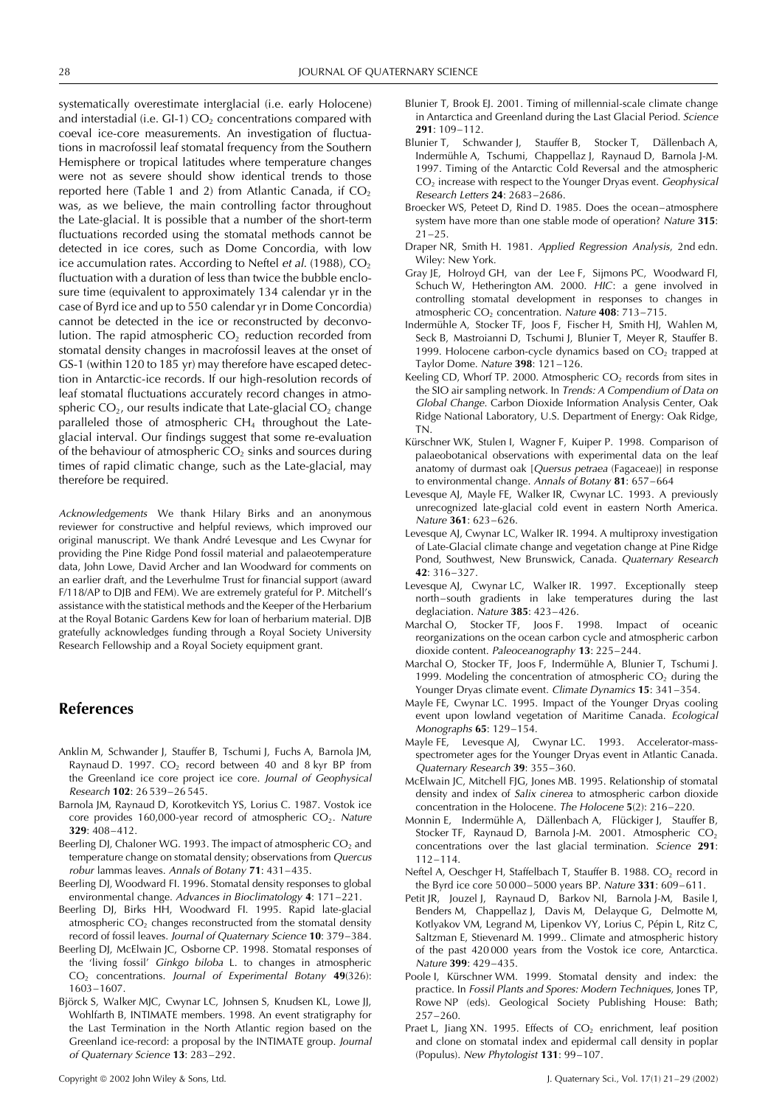systematically overestimate interglacial (i.e. early Holocene) and interstadial (i.e.  $GI-1$ )  $CO<sub>2</sub>$  concentrations compared with coeval ice-core measurements. An investigation of fluctuations in macrofossil leaf stomatal frequency from the Southern Hemisphere or tropical latitudes where temperature changes were not as severe should show identical trends to those reported here (Table 1 and 2) from Atlantic Canada, if  $CO<sub>2</sub>$ was, as we believe, the main controlling factor throughout the Late-glacial. It is possible that a number of the short-term fluctuations recorded using the stomatal methods cannot be detected in ice cores, such as Dome Concordia, with low ice accumulation rates. According to Neftel et al. (1988),  $CO<sub>2</sub>$ fluctuation with a duration of less than twice the bubble enclosure time (equivalent to approximately 134 calendar yr in the case of Byrd ice and up to 550 calendar yr in Dome Concordia) cannot be detected in the ice or reconstructed by deconvolution. The rapid atmospheric  $CO<sub>2</sub>$  reduction recorded from stomatal density changes in macrofossil leaves at the onset of GS-1 (within 120 to 185 yr) may therefore have escaped detection in Antarctic-ice records. If our high-resolution records of leaf stomatal fluctuations accurately record changes in atmospheric  $CO<sub>2</sub>$ , our results indicate that Late-glacial  $CO<sub>2</sub>$  change paralleled those of atmospheric  $CH_4$  throughout the Lateglacial interval. Our findings suggest that some re-evaluation of the behaviour of atmospheric  $CO<sub>2</sub>$  sinks and sources during times of rapid climatic change, such as the Late-glacial, may therefore be required.

Acknowledgements We thank Hilary Birks and an anonymous reviewer for constructive and helpful reviews, which improved our original manuscript. We thank André Levesque and Les Cwynar for providing the Pine Ridge Pond fossil material and palaeotemperature data, John Lowe, David Archer and Ian Woodward for comments on an earlier draft, and the Leverhulme Trust for financial support (award F/118/AP to DJB and FEM). We are extremely grateful for P. Mitchell's assistance with the statistical methods and the Keeper of the Herbarium at the Royal Botanic Gardens Kew for loan of herbarium material. DJB gratefully acknowledges funding through a Royal Society University Research Fellowship and a Royal Society equipment grant.

## **References**

- Anklin M, Schwander J, Stauffer B, Tschumi J, Fuchs A, Barnola JM, Raynaud D. 1997.  $CO<sub>2</sub>$  record between 40 and 8 kyr BP from the Greenland ice core project ice core. Journal of Geophysical Research **102**: 26 539–26 545.
- Barnola JM, Raynaud D, Korotkevitch YS, Lorius C. 1987. Vostok ice core provides 160,000-year record of atmospheric  $CO<sub>2</sub>$ . Nature **329**: 408–412.
- Beerling DJ, Chaloner WG. 1993. The impact of atmospheric  $CO<sub>2</sub>$  and temperature change on stomatal density; observations from Quercus robur lammas leaves. Annals of Botany **71**: 431–435.
- Beerling DJ, Woodward FI. 1996. Stomatal density responses to global environmental change. Advances in Bioclimatology **4**: 171–221.
- Beerling DJ, Birks HH, Woodward FI. 1995. Rapid late-glacial atmospheric  $CO<sub>2</sub>$  changes reconstructed from the stomatal density record of fossil leaves. Journal of Quaternary Science **10**: 379–384.
- Beerling DJ, McElwain JC, Osborne CP. 1998. Stomatal responses of the 'living fossil' Ginkgo biloba L. to changes in atmospheric CO2 concentrations. Journal of Experimental Botany **49**(326): 1603–1607.
- Björck S, Walker MJC, Cwynar LC, Johnsen S, Knudsen KL, Lowe JJ, Wohlfarth B, INTIMATE members. 1998. An event stratigraphy for the Last Termination in the North Atlantic region based on the Greenland ice-record: a proposal by the INTIMATE group. Journal of Quaternary Science **13**: 283–292.
- Blunier T, Brook EJ. 2001. Timing of millennial-scale climate change in Antarctica and Greenland during the Last Glacial Period. Science **291**: 109–112.
- Blunier T, Schwander J, Stauffer B, Stocker T, Dällenbach A, Indermühle A, Tschumi, Chappellaz J, Raynaud D, Barnola J-M. 1997. Timing of the Antarctic Cold Reversal and the atmospheric CO<sub>2</sub> increase with respect to the Younger Dryas event. Geophysical Research Letters **24**: 2683–2686.
- Broecker WS, Peteet D, Rind D. 1985. Does the ocean–atmosphere system have more than one stable mode of operation? Nature **315**:  $21 - 25$
- Draper NR, Smith H. 1981. Applied Regression Analysis, 2nd edn. Wiley: New York.
- Gray JE, Holroyd GH, van der Lee F, Sijmons PC, Woodward FI, Schuch W, Hetherington AM. 2000. HIC: a gene involved in controlling stomatal development in responses to changes in atmospheric CO<sub>2</sub> concentration. Nature 408: 713-715.
- Indermühle A, Stocker TF, Joos F, Fischer H, Smith HJ, Wahlen M, Seck B, Mastroianni D, Tschumi J, Blunier T, Meyer R, Stauffer B. 1999. Holocene carbon-cycle dynamics based on  $CO<sub>2</sub>$  trapped at Taylor Dome. Nature **398**: 121–126.
- Keeling CD, Whorf TP. 2000. Atmospheric  $CO<sub>2</sub>$  records from sites in the SIO air sampling network. In Trends: <sup>A</sup> Compendium of Data on Global Change. Carbon Dioxide Information Analysis Center, Oak Ridge National Laboratory, U.S. Department of Energy: Oak Ridge, TN.
- Kürschner WK, Stulen I, Wagner F, Kuiper P. 1998. Comparison of palaeobotanical observations with experimental data on the leaf anatomy of durmast oak [Quersus petraea (Fagaceae)] in response to environmental change. Annals of Botany **81**: 657–664
- Levesque AJ, Mayle FE, Walker IR, Cwynar LC. 1993. A previously unrecognized late-glacial cold event in eastern North America. Nature **361**: 623–626.
- Levesque AJ, Cwynar LC, Walker IR. 1994. A multiproxy investigation of Late-Glacial climate change and vegetation change at Pine Ridge Pond, Southwest, New Brunswick, Canada. Quaternary Research **42**: 316–327.
- Levesque AJ, Cwynar LC, Walker IR. 1997. Exceptionally steep north–south gradients in lake temperatures during the last deglaciation. Nature **385**: 423–426.
- Marchal O, Stocker TF, Joos F. 1998. Impact of oceanic reorganizations on the ocean carbon cycle and atmospheric carbon dioxide content. Paleoceanography **13**: 225–244.
- Marchal O, Stocker TF, Joos F, Indermühle A, Blunier T, Tschumi J. 1999. Modeling the concentration of atmospheric  $CO<sub>2</sub>$  during the Younger Dryas climate event. Climate Dynamics **15**: 341–354.
- Mayle FE, Cwynar LC. 1995. Impact of the Younger Dryas cooling event upon lowland vegetation of Maritime Canada. Ecological Monographs **65**: 129–154.
- Mayle FE, Levesque AJ, Cwynar LC. 1993. Accelerator-massspectrometer ages for the Younger Dryas event in Atlantic Canada. Quaternary Research **39**: 355–360.
- McElwain JC, Mitchell FJG, Jones MB. 1995. Relationship of stomatal density and index of Salix cinerea to atmospheric carbon dioxide concentration in the Holocene. The Holocene **5**(2): 216–220.
- Monnin E, Indermühle A, Dällenbach A, Flückiger J, Stauffer B, Stocker TF, Raynaud D, Barnola J-M. 2001. Atmospheric  $CO<sub>2</sub>$ concentrations over the last glacial termination. Science **291**: 112–114.
- Neftel A, Oeschger H, Staffelbach T, Stauffer B. 1988. CO<sub>2</sub> record in the Byrd ice core 50 000–5000 years BP. Nature **331**: 609–611.
- Petit JR, Jouzel J, Raynaud D, Barkov NI, Barnola J-M, Basile I, Benders M, Chappellaz J, Davis M, Delayque G, Delmotte M, Kotlyakov VM, Legrand M, Lipenkov VY, Lorius C, Pépin L, Ritz C, Saltzman E, Stievenard M. 1999.. Climate and atmospheric history of the past 420 000 years from the Vostok ice core, Antarctica. Nature **399**: 429–435.
- Poole I, Kürschner WM. 1999. Stomatal density and index: the practice. In Fossil Plants and Spores: Modern Techniques, Jones TP, Rowe NP (eds). Geological Society Publishing House: Bath; 257–260.
- Praet L, Jiang XN. 1995. Effects of  $CO<sub>2</sub>$  enrichment, leaf position and clone on stomatal index and epidermal call density in poplar (Populus). New Phytologist **131**: 99–107.